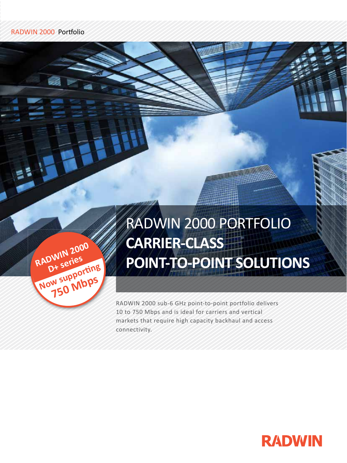RADWIN

**D+ series**

**Now supporting**

**750 Mbps**

**2000**

# RADWIN 2000 PORTFOLIO **CARRIER-CLASS POINT-TO-POINT SOLUTIONS**

RADWIN 2000 sub-6 GHz point-to-point portfolio delivers 10 to 750 Mbps and is ideal for carriers and vertical markets that require high capacity backhaul and access connectivity.

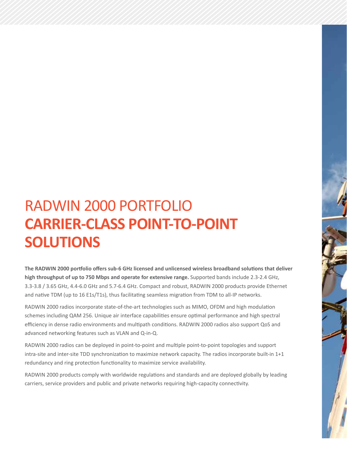# RADWIN 2000 PORTFOLIO **CARRIER-CLASS POINT-TO-POINT SOLUTIONS**

**The RADWIN 2000 portfolio offers sub-6 GHz licensed and unlicensed wireless broadband solutions that deliver high throughput of up to 750 Mbps and operate for extensive range.** Supported bands include 2.3-2.4 GHz, 3.3-3.8 / 3.65 GHz, 4.4-6.0 GHz and 5.7-6.4 GHz. Compact and robust, RADWIN 2000 products provide Ethernet and native TDM (up to 16 E1s/T1s), thus facilitating seamless migration from TDM to all-IP networks.

RADWIN 2000 radios incorporate state-of-the-art technologies such as MIMO, OFDM and high modulation schemes including QAM 256. Unique air interface capabilities ensure optimal performance and high spectral efficiency in dense radio environments and multipath conditions. RADWIN 2000 radios also support QoS and advanced networking features such as VLAN and Q-in-Q.

RADWIN 2000 radios can be deployed in point-to-point and multiple point-to-point topologies and support intra-site and inter-site TDD synchronization to maximize network capacity. The radios incorporate built-in 1+1 redundancy and ring protection functionality to maximize service availability.

RADWIN 2000 products comply with worldwide regulations and standards and are deployed globally by leading carriers, service providers and public and private networks requiring high-capacity connectivity.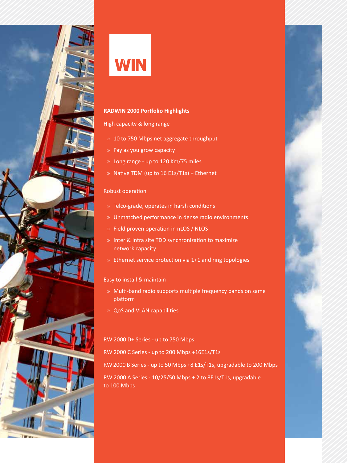

# **WIN**

# **RADWIN 2000 Portfolio Highlights**

### High capacity & long range

- » 10 to 750 Mbps net aggregate throughput
- » Pay as you grow capacity
- » Long range up to 120 Km/75 miles
- » Native TDM (up to 16 E1s/T1s) + Ethernet

# Robust operation

- » Telco-grade, operates in harsh conditions
- » Unmatched performance in dense radio environments
- » Field proven operation in nLOS / NLOS
- » Inter & Intra site TDD synchronization to maximize network capacity
- » Ethernet service protection via 1+1 and ring topologies

# Easy to install & maintain

- » Multi-band radio supports multiple frequency bands on same platform
- » QoS and VLAN capabilities

# RW 2000 D+ Series - up to 750 Mbps

RW 2000 C Series - up to 200 Mbps +16E1s/T1s

RW 2000 B Series - up to 50 Mbps +8 E1s/T1s, upgradable to 200 Mbps RW 2000 A Series - 10/25/50 Mbps + 2 to 8E1s/T1s, upgradable to 100 Mbps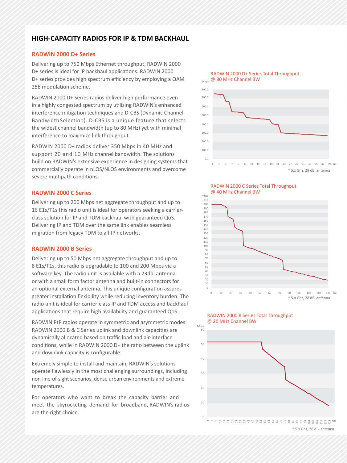# **HIGH-CAPACITY RADIOS FOR IP & TDM BACKHAUL**

#### **RADWIN 2000 D+ Series**

Delivering up to 750 Mbps Ethernet throughput, RADWIN 2000 D+ series is ideal for IP backhaul applications. RADWIN 2000 D+ series provides high spectrum efficiency by employing a QAM 256 modulation scheme.

RADWIN 2000 D+ Series radios deliver high performance even in a highly congested spectrum by utilizing RADWIN's enhanced interference mitigation techniques and D-CBS (Dynamic Channel Bandwidth Selection). D-CBS is a unique feature that selects the widest channel bandwidth (up to 80 MHz) yet with minimal interference to maximize link throughput.

RADWIN 2000 D+ radios deliver 350 Mbps in 40 MHz and support 20 and 10 MHz channel bandwidth. The solutions build on RADWIN's extensive experience in designing systems that commercially operate in nLOS/NLOS environments and overcome severe multipath conditions.

#### **RADWIN 2000 C Series**

Delivering up to 200 Mbps net aggregate throughput and up to 16 E1s/T1s this radio unit is ideal for operators seeking a carrierclass solution for IP and TDM backhaul with guaranteed QoS. Delivering IP and TDM over the same link enables seamless migration from legacy TDM to all-IP networks.

#### **RADWIN 2000 B Series**

Delivering up to 50 Mbps net aggregate throughput and up to 8 E1s/T1s, this radio is upgradable to 100 and 200 Mbps via a software key. The radio unit is available with a 23dbi antenna or with a small form factor antenna and built-in connectors for an optional external antenna. This unique configuration assures greater installation flexibility while reducing inventory burden. The radio unit is ideal for carrier-class IP and TDM access and backhaul applications that require high availability and guaranteed QoS.

RADWIN PtP radios operate in symmetric and asymmetric modes: RADWIN 2000 B & C Series uplink and downlink capacities are dynamically allocated based on traffic load and air-interface conditions, while in RADWIN 2000 D+ the ratio between the uplink and downlink capacity is configurable.

Extremely simple to install and maintain, RADWIN's solutions operate flawlessly in the most challenging surroundings, including non-line-of-sight scenarios, dense urban environments and extreme temperatures.

For operators who want to break the capacity barrier and meet the skyrocketing demand for broadband, RADWIN's radios are the right choice.



RADWIN 2000 C Series Total Throughput @ 40 MHz Channel BW





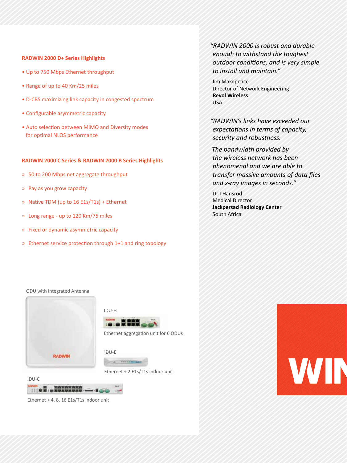#### **RADWIN 2000 D+ Series Highlights**

- Up to 750 Mbps Ethernet throughput
- Range of up to 40 Km/25 miles
- D-CBS maximizing link capacity in congested spectrum
- Configurable asymmetric capacity
- Auto selection between MIMO and Diversity modes for optimal NLOS performance

#### **RADWIN 2000 C Series & RADWIN 2000 B Series Highlights**

- » 50 to 200 Mbps net aggregate throughput
- » Pay as you grow capacity
- » Native TDM (up to 16 E1s/T1s) + Ethernet
- » Long range up to 120 Km/75 miles
- » Fixed or dynamic asymmetric capacity
- » Ethernet service protection through 1+1 and ring topology

*"RADWIN 2000 is robust and durable enough to withstand the toughest outdoor conditions, and is very simple to install and maintain."* 

Jim Makepeace Director of Network Engineering **Revol Wireless** USA

*"RADWIN's links have exceeded our expectations in terms of capacity, security and robustness.* 

*The bandwidth provided by the wireless network has been phenomenal and we are able to transfer massive amounts of data files and x-ray images in seconds."*

Dr I Hansrod Medical Director **Jackpersad Radiology Center** South Africa

#### ODU with Integrated Antenna







Ethernet + 2 E1s/T1s indoor unit



Ethernet + 4, 8, 16 E1s/T1s indoor unit

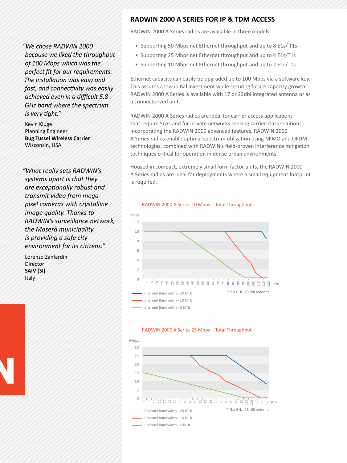# **RADWIN 2000 A SERIES FOR IP & TDM ACCESS**

RADWIN 2000 A Series radios are available in three models:

*"We chose RADWIN 2000 because we liked the throughput of 100 Mbps which was the perfect fit for our requirements. The installation was easy and fast, and connectivity was easily achieved even in a difficult 5.8 GHz band where the spectrum is very tight."*

Kevin Kluge Planning Engineer **Bug Tussel Wireless Carrier** Wisconsin, USA

*"What really sets RADWIN's systems apart is that they are exceptionally robust and transmit video from megapixel cameras with crystalline image quality. Thanks to RADWIN's surveillance network, the Maserà municipality is providing a safe city environment for its citizens."*

Lorenzo Zanfardin **Director SAIV (SI)** Italy

- Supporting 50 Mbps net Ethernet throughput and up to 8 E1s/ T1s
- Supporting 25 Mbps net Ethernet throughput and up to 4 E1s/T1s
- Supporting 10 Mbps net Ethernet throughput and up to 2 E1s/T1s

Ethernet capacity can easily be upgraded up to 100 Mbps via a software key. This assures a low initial investment while securing future capacity growth. RADWIN 2000 A Series is available with 17 or 23dbi integrated antenna or as a connectorized unit.

RADWIN 2000 A Series radios are ideal for carrier access applications that require SLAs and for private networks seeking carrier-class solutions. Incorporating the RADWIN 2000 advanced features, RADWIN 2000 A Series radios enable optimal spectrum utilization using MIMO and OFDM technologies, combined with RADWIN's field-proven interference mitigation techniques critical for operation in dense urban environments.

Housed in compact, extremely small form factor units, the RADWIN 2000 A Series radios are ideal for deployments where a small equipment footprint is required.

#### RADWIN 2000 A Series 10 Mbps - Total Throughput



#### RADWIN 2000 A Series 25 Mbps - Total Throughput

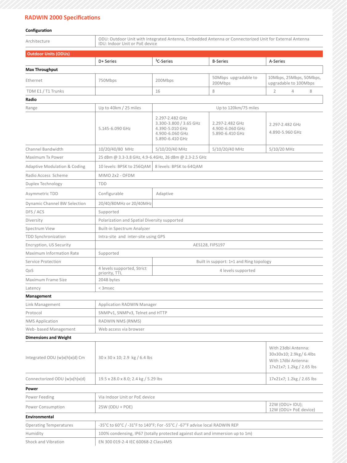### **RADWIN 2000 Specifications**

#### **Configuration**

| Architecture                            | ODU: Outdoor Unit with Integrated Antenna, Embedded Antenna or Connectorized Unit for External Antenna<br>IDU: Indoor Unit or PoE device |                                                                                                    |                                                       |                                                  |  |  |  |
|-----------------------------------------|------------------------------------------------------------------------------------------------------------------------------------------|----------------------------------------------------------------------------------------------------|-------------------------------------------------------|--------------------------------------------------|--|--|--|
| <b>Outdoor Units (ODUs)</b>             |                                                                                                                                          |                                                                                                    |                                                       |                                                  |  |  |  |
|                                         | D+ Series                                                                                                                                | <sup>1</sup> C-Series                                                                              | <b>B-Series</b>                                       | A-Series                                         |  |  |  |
| <b>Max Throughput</b>                   |                                                                                                                                          |                                                                                                    |                                                       |                                                  |  |  |  |
| Ethernet                                | 750Mbps                                                                                                                                  | 200Mbps                                                                                            | 50Mbps upgradable to<br>200Mbps                       | 10Mbps, 25Mbps, 50Mbps,<br>upgradable to 100Mbps |  |  |  |
| TDM E1 / T1 Trunks                      |                                                                                                                                          | 16                                                                                                 | 8                                                     | 4<br>2<br>8                                      |  |  |  |
| Radio                                   |                                                                                                                                          |                                                                                                    |                                                       |                                                  |  |  |  |
| Range                                   | Up to 40km / 25 miles                                                                                                                    | Up to 120km/75 miles                                                                               |                                                       |                                                  |  |  |  |
|                                         | 5.145-6.090 GHz                                                                                                                          | 2.297-2.482 GHz<br>3.300-3.800 / 3.65 GHz<br>4.390-5.010 GHz<br>4.900-6.060 GHz<br>5.890-6.410 GHz | 2.297-2.482 GHz<br>4.900-6.060 GHz<br>5.890-6.410 GHz | 2.297-2.482 GHz<br>4.890-5.960 GHz               |  |  |  |
| Channel Bandwidth                       | 10/20/40/80 MHz                                                                                                                          | 5/10/20/40 MHz                                                                                     | 5/10/20/40 MHz                                        | 5/10/20 MHz                                      |  |  |  |
| Maximum Tx Power                        |                                                                                                                                          | 25 dBm @ 3.3-3.8 GHz, 4.9-6.4GHz, 26 dBm @ 2.3-2.5 GHz                                             |                                                       |                                                  |  |  |  |
| <b>Adaptive Modulation &amp; Coding</b> | 10 levels: BPSK to 256QAM                                                                                                                | 8 levels: BPSK to 64QAM                                                                            |                                                       |                                                  |  |  |  |
| Radio Access Scheme                     | MIMO 2x2 - OFDM                                                                                                                          |                                                                                                    |                                                       |                                                  |  |  |  |
| Duplex Technology                       | <b>TDD</b>                                                                                                                               |                                                                                                    |                                                       |                                                  |  |  |  |
| Asymmetric TDD                          | Configurable                                                                                                                             | Adaptive                                                                                           |                                                       |                                                  |  |  |  |
| <b>Dynamic Channel BW Selection</b>     | 20/40/80MHz or 20/40MHz                                                                                                                  |                                                                                                    |                                                       |                                                  |  |  |  |
| DFS / ACS                               | Supported                                                                                                                                |                                                                                                    |                                                       |                                                  |  |  |  |
| Diversity                               | Polarization and Spatial Diversity supported                                                                                             |                                                                                                    |                                                       |                                                  |  |  |  |
| Spectrum View                           | <b>Built-in Spectrum Analyzer</b>                                                                                                        |                                                                                                    |                                                       |                                                  |  |  |  |
| <b>TDD Synchronization</b>              | Intra-site and inter-site using GPS                                                                                                      |                                                                                                    |                                                       |                                                  |  |  |  |
| Encryption, US Security                 | AES128, FIPS197                                                                                                                          |                                                                                                    |                                                       |                                                  |  |  |  |
| Maximum Information Rate                | Supported                                                                                                                                |                                                                                                    |                                                       |                                                  |  |  |  |
| Service Protection                      |                                                                                                                                          | Built in support: 1+1 and Ring topology                                                            |                                                       |                                                  |  |  |  |
| QoS                                     | 4 levels supported, Strict<br>priority, TTL                                                                                              | 4 levels supported                                                                                 |                                                       |                                                  |  |  |  |
| Maximum Frame Size                      | 2048 bytes                                                                                                                               |                                                                                                    |                                                       |                                                  |  |  |  |
| Latency                                 | < 3msec                                                                                                                                  |                                                                                                    |                                                       |                                                  |  |  |  |
| Management                              |                                                                                                                                          |                                                                                                    |                                                       |                                                  |  |  |  |
| Link Management                         | <b>Application RADWIN Manager</b>                                                                                                        |                                                                                                    |                                                       |                                                  |  |  |  |
| Protocol                                | SNMPv1, SNMPv3, Telnet and HTTP                                                                                                          |                                                                                                    |                                                       |                                                  |  |  |  |
| <b>NMS Application</b>                  | RADWIN NMS (RNMS)                                                                                                                        |                                                                                                    |                                                       |                                                  |  |  |  |
| Web- based Management                   | Web access via browser                                                                                                                   |                                                                                                    |                                                       |                                                  |  |  |  |
| <b>Dimensions and Weight</b>            |                                                                                                                                          |                                                                                                    |                                                       |                                                  |  |  |  |
| Integrated ODU (w)x(h)x(d) Cm           | 30 x 30 x 10; 2.9 kg / 6.4 lbs                                                                                                           | With 23dbi Antenna:<br>30x30x10; 2.9kg/ 6.4lbs<br>With 17dbi Antenna:<br>17x21x7; 1.2kg / 2.65 lbs |                                                       |                                                  |  |  |  |
| Connectorized ODU (w)x(h)x(d)           | 19.5 x 28.0 x 8.0; 2.4 kg / 5.29 lbs                                                                                                     | 17x21x7; 1.2kg / 2.65 lbs                                                                          |                                                       |                                                  |  |  |  |
| Power                                   |                                                                                                                                          |                                                                                                    |                                                       |                                                  |  |  |  |
| Power Feeding                           | Via Indoor Unit or PoE device                                                                                                            |                                                                                                    |                                                       |                                                  |  |  |  |
| Power Consumption                       | 22W (ODU+ IDU);<br>25W (ODU + POE)<br>12W (ODU+ PoE device)                                                                              |                                                                                                    |                                                       |                                                  |  |  |  |
| Environmental                           |                                                                                                                                          |                                                                                                    |                                                       |                                                  |  |  |  |
| <b>Operating Temperatures</b>           | -35°C to 60°C / -31°F to 140°F; For -55°C / -67°F advise local RADWIN REP                                                                |                                                                                                    |                                                       |                                                  |  |  |  |
| Humidity                                | 100% condensing, IP67 (totally protected against dust and immersion up to 1m)                                                            |                                                                                                    |                                                       |                                                  |  |  |  |

Shock and Vibration EN 300 019-2-4 IEC 60068-2 Class4M5